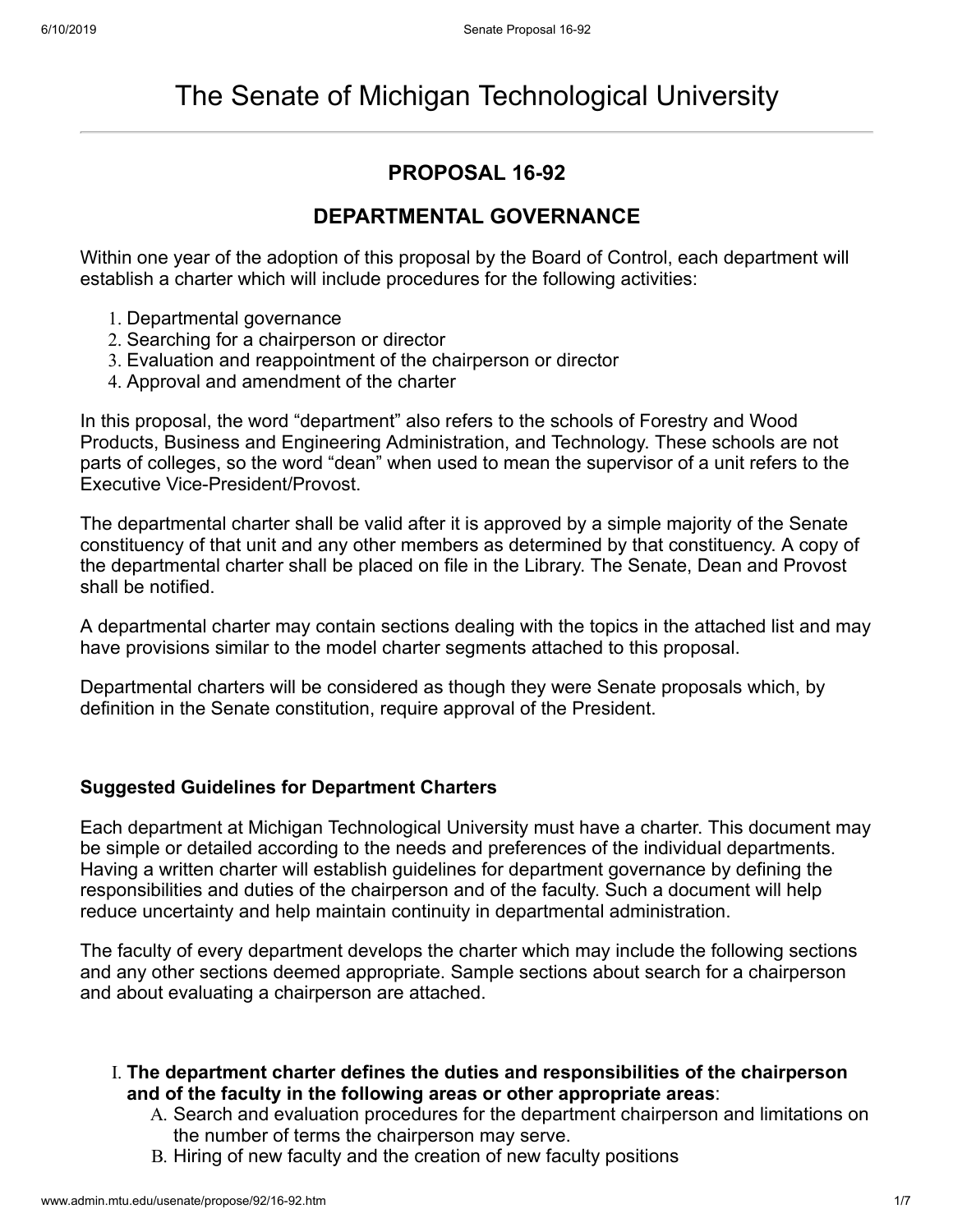# **PROPOSAL 16-92**

## **DEPARTMENTAL GOVERNANCE**

Within one year of the adoption of this proposal by the Board of Control, each department will establish a charter which will include procedures for the following activities:

- 1. Departmental governance
- 2. Searching for a chairperson or director
- 3. Evaluation and reappointment of the chairperson or director
- 4. Approval and amendment of the charter

In this proposal, the word "department" also refers to the schools of Forestry and Wood Products, Business and Engineering Administration, and Technology. These schools are not parts of colleges, so the word "dean" when used to mean the supervisor of a unit refers to the Executive Vice-President/Provost.

The departmental charter shall be valid after it is approved by a simple majority of the Senate constituency of that unit and any other members as determined by that constituency. A copy of the departmental charter shall be placed on file in the Library. The Senate, Dean and Provost shall be notified.

A departmental charter may contain sections dealing with the topics in the attached list and may have provisions similar to the model charter segments attached to this proposal.

Departmental charters will be considered as though they were Senate proposals which, by definition in the Senate constitution, require approval of the President.

### **Suggested Guidelines for Department Charters**

Each department at Michigan Technological University must have a charter. This document may be simple or detailed according to the needs and preferences of the individual departments. Having a written charter will establish guidelines for department governance by defining the responsibilities and duties of the chairperson and of the faculty. Such a document will help reduce uncertainty and help maintain continuity in departmental administration.

The faculty of every department develops the charter which may include the following sections and any other sections deemed appropriate. Sample sections about search for a chairperson and about evaluating a chairperson are attached.

- I. **The department charter defines the duties and responsibilities of the chairperson and of the faculty in the following areas or other appropriate areas**:
	- A. Search and evaluation procedures for the department chairperson and limitations on the number of terms the chairperson may serve.
	- B. Hiring of new faculty and the creation of new faculty positions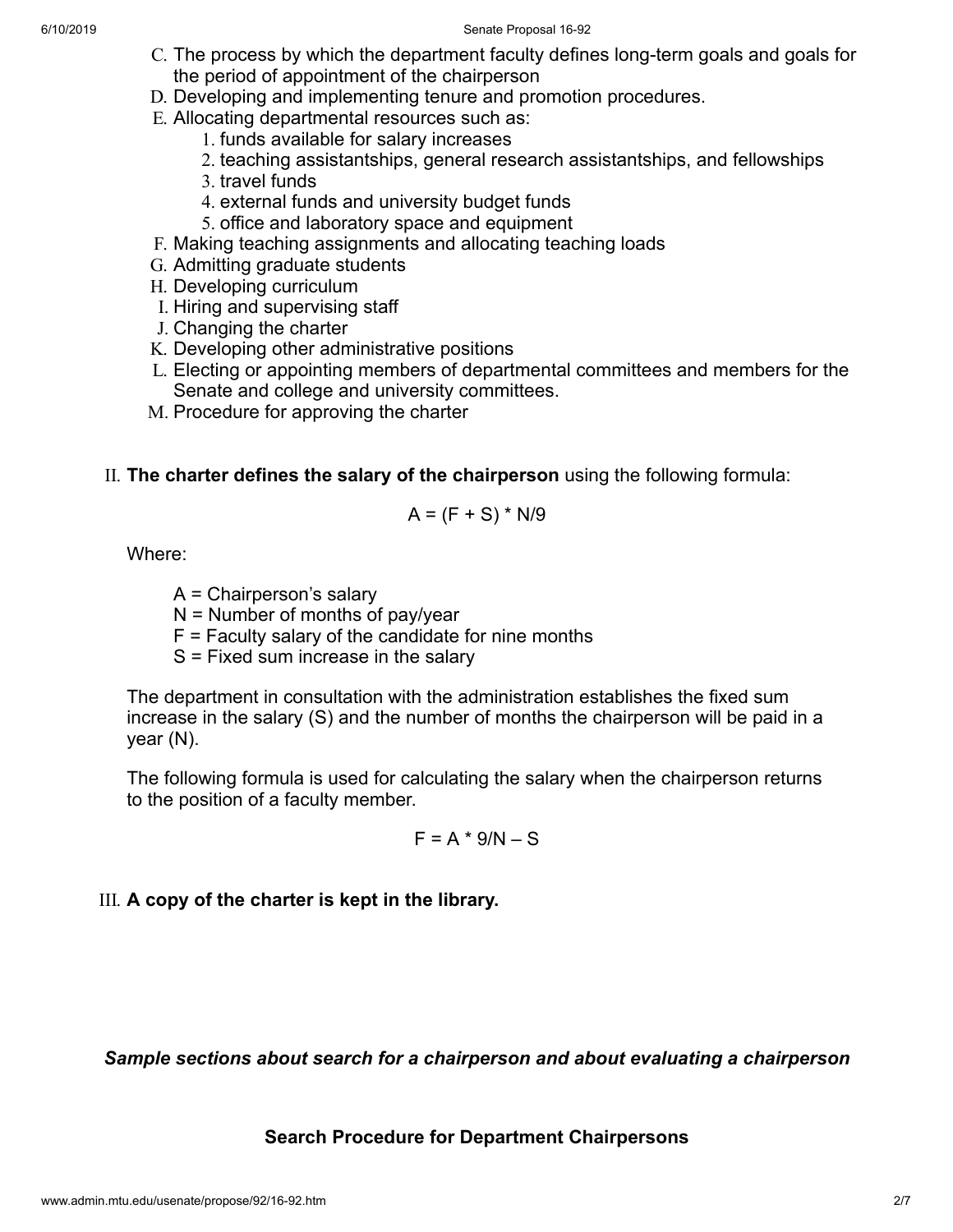- C. The process by which the department faculty defines long-term goals and goals for the period of appointment of the chairperson
- D. Developing and implementing tenure and promotion procedures.
- E. Allocating departmental resources such as:
	- 1. funds available for salary increases
	- 2. teaching assistantships, general research assistantships, and fellowships
	- 3. travel funds
	- 4. external funds and university budget funds
	- 5. office and laboratory space and equipment
- F. Making teaching assignments and allocating teaching loads
- G. Admitting graduate students
- H. Developing curriculum
- I. Hiring and supervising staff
- J. Changing the charter
- K. Developing other administrative positions
- L. Electing or appointing members of departmental committees and members for the Senate and college and university committees.
- M. Procedure for approving the charter

## II. **The charter defines the salary of the chairperson** using the following formula:

$$
A = (F + S) * N/9
$$

Where:

- A = Chairperson's salary
- $N =$  Number of months of pay/year
- $F =$  Faculty salary of the candidate for nine months
- S = Fixed sum increase in the salary

The department in consultation with the administration establishes the fixed sum increase in the salary (S) and the number of months the chairperson will be paid in a year (N).

The following formula is used for calculating the salary when the chairperson returns to the position of a faculty member.

$$
F = A * 9/N - S
$$

## III. **A copy of the charter is kept in the library.**

*Sample sections about search for a chairperson and about evaluating a chairperson*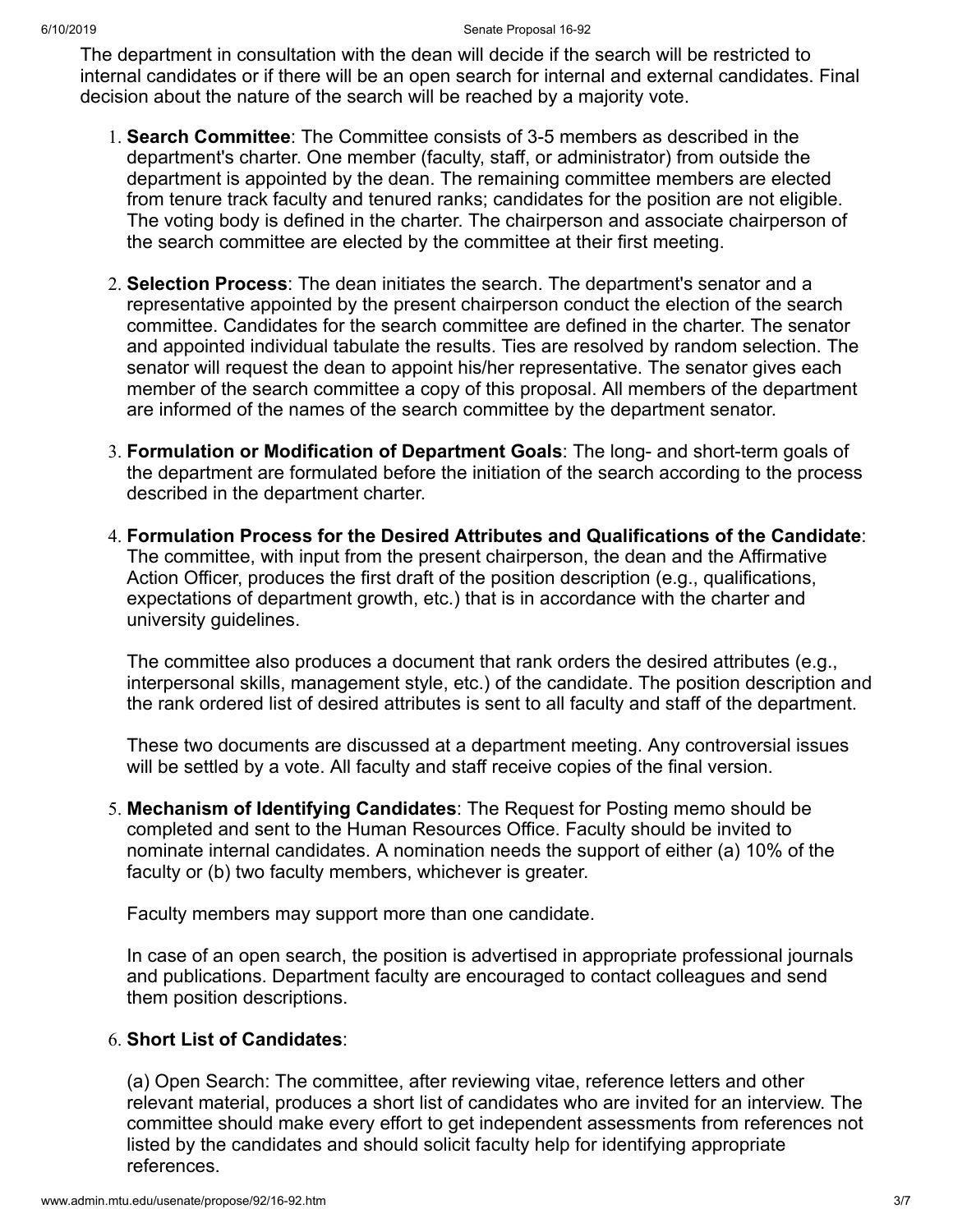The department in consultation with the dean will decide if the search will be restricted to internal candidates or if there will be an open search for internal and external candidates. Final decision about the nature of the search will be reached by a majority vote.

- 1. **Search Committee**: The Committee consists of 3-5 members as described in the department's charter. One member (faculty, staff, or administrator) from outside the department is appointed by the dean. The remaining committee members are elected from tenure track faculty and tenured ranks; candidates for the position are not eligible. The voting body is defined in the charter. The chairperson and associate chairperson of the search committee are elected by the committee at their first meeting.
- 2. **Selection Process**: The dean initiates the search. The department's senator and a representative appointed by the present chairperson conduct the election of the search committee. Candidates for the search committee are defined in the charter. The senator and appointed individual tabulate the results. Ties are resolved by random selection. The senator will request the dean to appoint his/her representative. The senator gives each member of the search committee a copy of this proposal. All members of the department are informed of the names of the search committee by the department senator.
- 3. **Formulation or Modification of Department Goals**: The long- and short-term goals of the department are formulated before the initiation of the search according to the process described in the department charter.
- 4. **Formulation Process for the Desired Attributes and Qualifications of the Candidate**: The committee, with input from the present chairperson, the dean and the Affirmative Action Officer, produces the first draft of the position description (e.g., qualifications, expectations of department growth, etc.) that is in accordance with the charter and university guidelines.

The committee also produces a document that rank orders the desired attributes (e.g., interpersonal skills, management style, etc.) of the candidate. The position description and the rank ordered list of desired attributes is sent to all faculty and staff of the department.

These two documents are discussed at a department meeting. Any controversial issues will be settled by a vote. All faculty and staff receive copies of the final version.

5. **Mechanism of Identifying Candidates**: The Request for Posting memo should be completed and sent to the Human Resources Office. Faculty should be invited to nominate internal candidates. A nomination needs the support of either (a) 10% of the faculty or (b) two faculty members, whichever is greater.

Faculty members may support more than one candidate.

In case of an open search, the position is advertised in appropriate professional journals and publications. Department faculty are encouraged to contact colleagues and send them position descriptions.

### 6. **Short List of Candidates**:

(a) Open Search: The committee, after reviewing vitae, reference letters and other relevant material, produces a short list of candidates who are invited for an interview. The committee should make every effort to get independent assessments from references not listed by the candidates and should solicit faculty help for identifying appropriate references.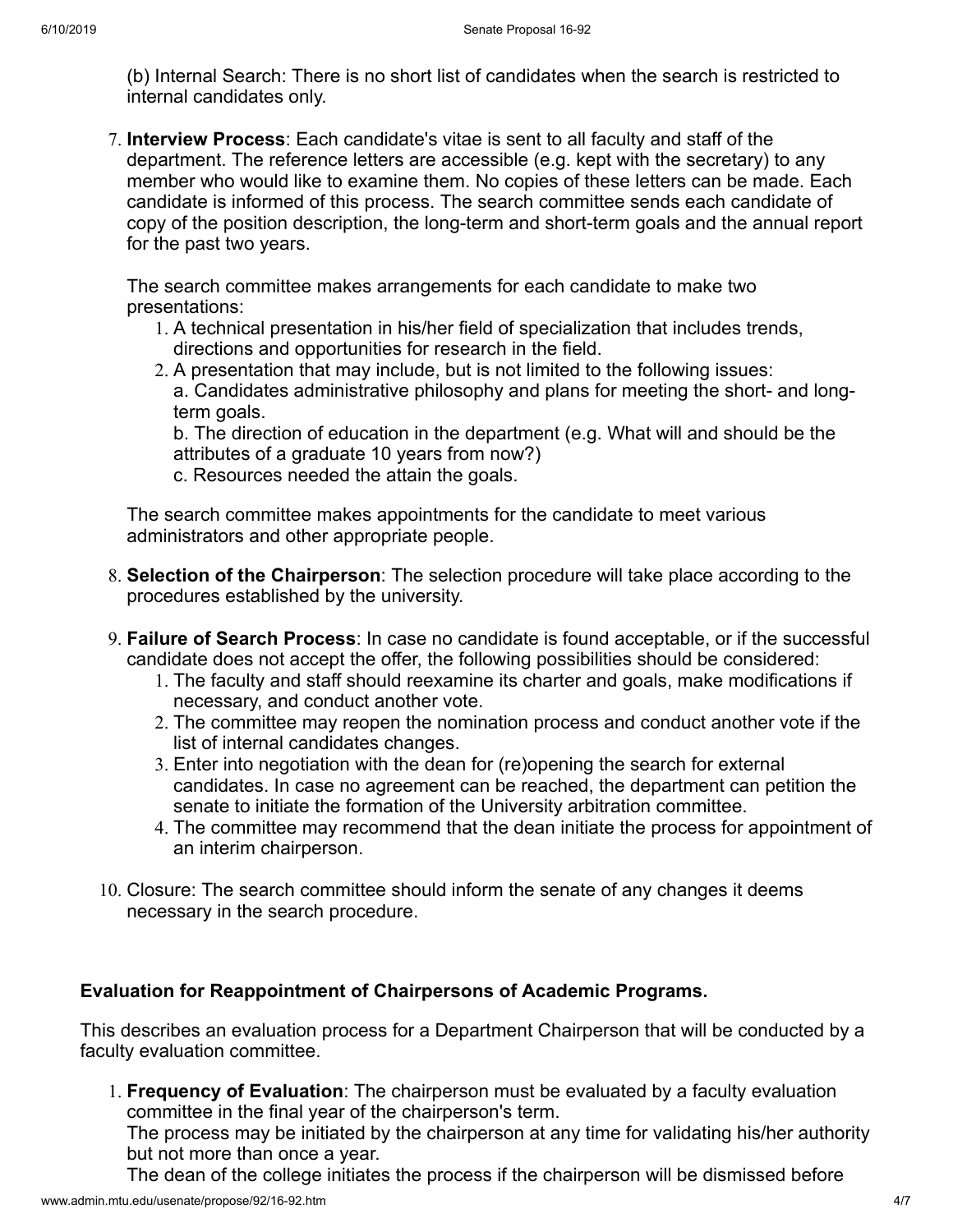(b) Internal Search: There is no short list of candidates when the search is restricted to internal candidates only.

7. **Interview Process**: Each candidate's vitae is sent to all faculty and staff of the department. The reference letters are accessible (e.g. kept with the secretary) to any member who would like to examine them. No copies of these letters can be made. Each candidate is informed of this process. The search committee sends each candidate of copy of the position description, the long-term and short-term goals and the annual report for the past two years.

The search committee makes arrangements for each candidate to make two presentations:

- 1. A technical presentation in his/her field of specialization that includes trends, directions and opportunities for research in the field.
- 2. A presentation that may include, but is not limited to the following issues: a. Candidates administrative philosophy and plans for meeting the short- and longterm goals.

b. The direction of education in the department (e.g. What will and should be the attributes of a graduate 10 years from now?)

c. Resources needed the attain the goals.

The search committee makes appointments for the candidate to meet various administrators and other appropriate people.

- 8. **Selection of the Chairperson**: The selection procedure will take place according to the procedures established by the university.
- 9. **Failure of Search Process**: In case no candidate is found acceptable, or if the successful candidate does not accept the offer, the following possibilities should be considered:
	- 1. The faculty and staff should reexamine its charter and goals, make modifications if necessary, and conduct another vote.
	- 2. The committee may reopen the nomination process and conduct another vote if the list of internal candidates changes.
	- 3. Enter into negotiation with the dean for (re)opening the search for external candidates. In case no agreement can be reached, the department can petition the senate to initiate the formation of the University arbitration committee.
	- 4. The committee may recommend that the dean initiate the process for appointment of an interim chairperson.
- 10. Closure: The search committee should inform the senate of any changes it deems necessary in the search procedure.

### **Evaluation for Reappointment of Chairpersons of Academic Programs.**

This describes an evaluation process for a Department Chairperson that will be conducted by a faculty evaluation committee.

1. **Frequency of Evaluation**: The chairperson must be evaluated by a faculty evaluation committee in the final year of the chairperson's term.

The process may be initiated by the chairperson at any time for validating his/her authority but not more than once a year.

The dean of the college initiates the process if the chairperson will be dismissed before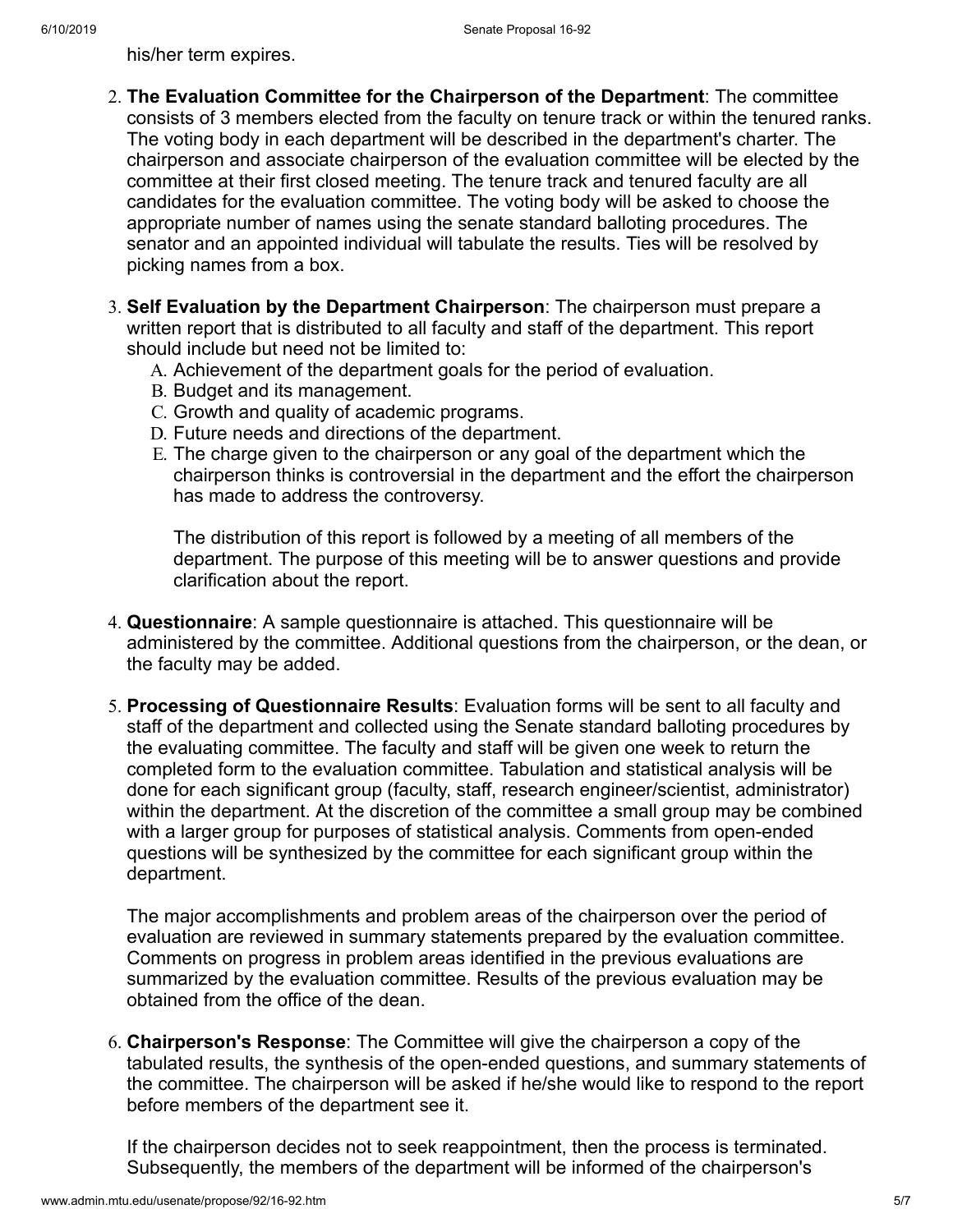his/her term expires.

- 2. **The Evaluation Committee for the Chairperson of the Department**: The committee consists of 3 members elected from the faculty on tenure track or within the tenured ranks. The voting body in each department will be described in the department's charter. The chairperson and associate chairperson of the evaluation committee will be elected by the committee at their first closed meeting. The tenure track and tenured faculty are all candidates for the evaluation committee. The voting body will be asked to choose the appropriate number of names using the senate standard balloting procedures. The senator and an appointed individual will tabulate the results. Ties will be resolved by picking names from a box.
- 3. **Self Evaluation by the Department Chairperson**: The chairperson must prepare a written report that is distributed to all faculty and staff of the department. This report should include but need not be limited to:
	- A. Achievement of the department goals for the period of evaluation.
	- B. Budget and its management.
	- C. Growth and quality of academic programs.
	- D. Future needs and directions of the department.
	- E. The charge given to the chairperson or any goal of the department which the chairperson thinks is controversial in the department and the effort the chairperson has made to address the controversy.

The distribution of this report is followed by a meeting of all members of the department. The purpose of this meeting will be to answer questions and provide clarification about the report.

- 4. **Questionnaire**: A sample questionnaire is attached. This questionnaire will be administered by the committee. Additional questions from the chairperson, or the dean, or the faculty may be added.
- 5. **Processing of Questionnaire Results**: Evaluation forms will be sent to all faculty and staff of the department and collected using the Senate standard balloting procedures by the evaluating committee. The faculty and staff will be given one week to return the completed form to the evaluation committee. Tabulation and statistical analysis will be done for each significant group (faculty, staff, research engineer/scientist, administrator) within the department. At the discretion of the committee a small group may be combined with a larger group for purposes of statistical analysis. Comments from open-ended questions will be synthesized by the committee for each significant group within the department.

The major accomplishments and problem areas of the chairperson over the period of evaluation are reviewed in summary statements prepared by the evaluation committee. Comments on progress in problem areas identified in the previous evaluations are summarized by the evaluation committee. Results of the previous evaluation may be obtained from the office of the dean.

6. **Chairperson's Response**: The Committee will give the chairperson a copy of the tabulated results, the synthesis of the open-ended questions, and summary statements of the committee. The chairperson will be asked if he/she would like to respond to the report before members of the department see it.

If the chairperson decides not to seek reappointment, then the process is terminated. Subsequently, the members of the department will be informed of the chairperson's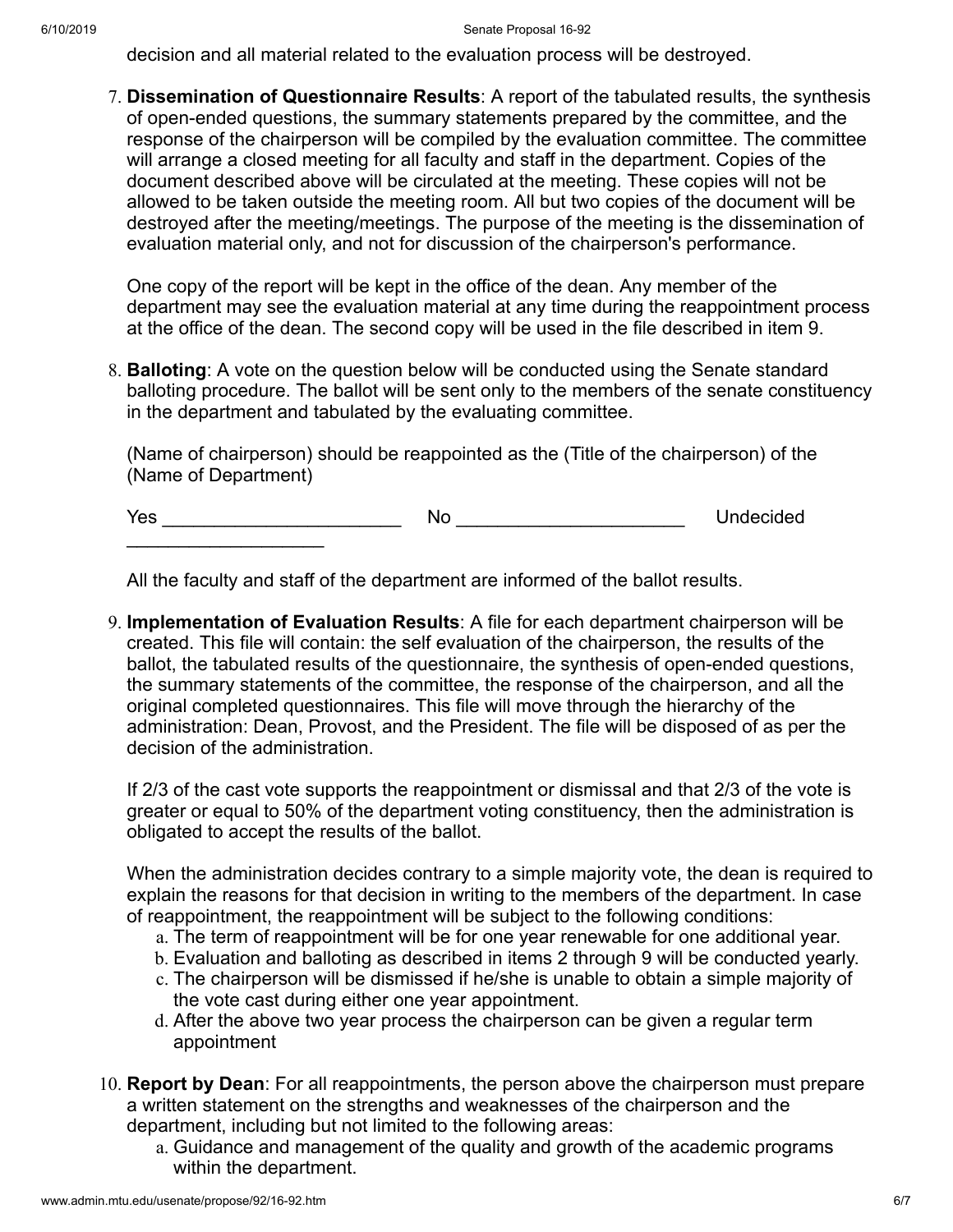decision and all material related to the evaluation process will be destroyed.

7. **Dissemination of Questionnaire Results**: A report of the tabulated results, the synthesis of open-ended questions, the summary statements prepared by the committee, and the response of the chairperson will be compiled by the evaluation committee. The committee will arrange a closed meeting for all faculty and staff in the department. Copies of the document described above will be circulated at the meeting. These copies will not be allowed to be taken outside the meeting room. All but two copies of the document will be destroyed after the meeting/meetings. The purpose of the meeting is the dissemination of evaluation material only, and not for discussion of the chairperson's performance.

One copy of the report will be kept in the office of the dean. Any member of the department may see the evaluation material at any time during the reappointment process at the office of the dean. The second copy will be used in the file described in item 9.

8. **Balloting**: A vote on the question below will be conducted using the Senate standard balloting procedure. The ballot will be sent only to the members of the senate constituency in the department and tabulated by the evaluating committee.

(Name of chairperson) should be reappointed as the (Title of the chairperson) of the (Name of Department)

Yes \_\_\_\_\_\_\_\_\_\_\_\_\_\_\_\_\_\_\_\_\_\_\_ No \_\_\_\_\_\_\_\_\_\_\_\_\_\_\_\_\_\_\_\_\_\_ Undecided \_\_\_\_\_\_\_\_\_\_\_\_\_\_\_\_\_\_\_

All the faculty and staff of the department are informed of the ballot results.

9. **Implementation of Evaluation Results**: A file for each department chairperson will be created. This file will contain: the self evaluation of the chairperson, the results of the ballot, the tabulated results of the questionnaire, the synthesis of open-ended questions, the summary statements of the committee, the response of the chairperson, and all the original completed questionnaires. This file will move through the hierarchy of the administration: Dean, Provost, and the President. The file will be disposed of as per the decision of the administration.

If 2/3 of the cast vote supports the reappointment or dismissal and that 2/3 of the vote is greater or equal to 50% of the department voting constituency, then the administration is obligated to accept the results of the ballot.

When the administration decides contrary to a simple majority vote, the dean is required to explain the reasons for that decision in writing to the members of the department. In case of reappointment, the reappointment will be subject to the following conditions:

- a. The term of reappointment will be for one year renewable for one additional year.
- b. Evaluation and balloting as described in items 2 through 9 will be conducted yearly.
- c. The chairperson will be dismissed if he/she is unable to obtain a simple majority of the vote cast during either one year appointment.
- d. After the above two year process the chairperson can be given a regular term appointment
- 10. **Report by Dean**: For all reappointments, the person above the chairperson must prepare a written statement on the strengths and weaknesses of the chairperson and the department, including but not limited to the following areas:
	- a. Guidance and management of the quality and growth of the academic programs within the department.